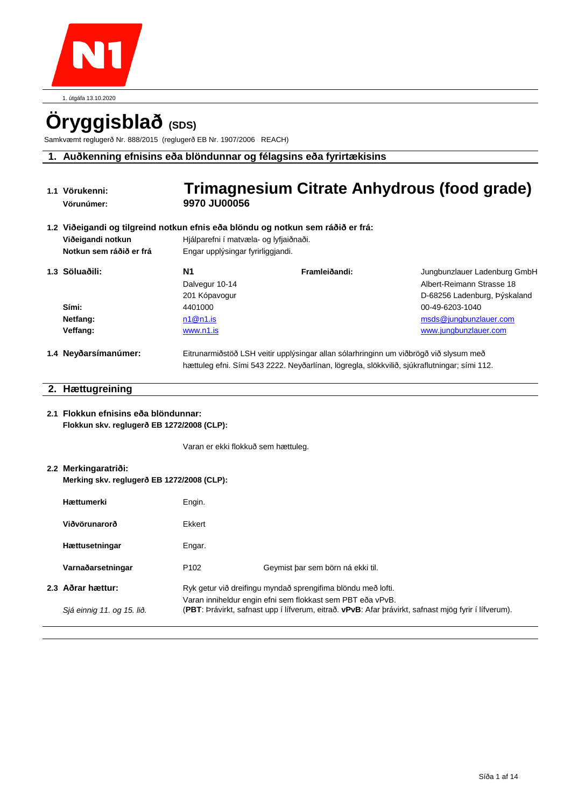

1. útgáfa 13.10.2020

# **Öryggisblað (SDS)**

Samkvæmt reglugerð Nr. 888/2015 (reglugerð EB Nr. 1907/2006 REACH)

# **1. Auðkenning efnisins eða blöndunnar og félagsins eða fyrirtækisins**

| 1.1 Vörukenni:<br>Vörunúmer:                                                                                                    | 9970 JU00056                                                                | Trimagnesium Citrate Anhydrous (food grade)                                                                                                                                           |                                                                                           |
|---------------------------------------------------------------------------------------------------------------------------------|-----------------------------------------------------------------------------|---------------------------------------------------------------------------------------------------------------------------------------------------------------------------------------|-------------------------------------------------------------------------------------------|
| 1.2 Viðeigandi og tilgreind notkun efnis eða blöndu og notkun sem ráðið er frá:<br>Viðeigandi notkun<br>Notkun sem ráðið er frá | Hjálparefni í matvæla- og lyfjaiðnaði.<br>Engar upplýsingar fyrirliggjandi. |                                                                                                                                                                                       |                                                                                           |
| 1.3 Söluaðili:                                                                                                                  | N <sub>1</sub><br>Dalvegur 10-14<br>201 Kópavogur                           | Framleiðandi:                                                                                                                                                                         | Jungbunzlauer Ladenburg GmbH<br>Albert-Reimann Strasse 18<br>D-68256 Ladenburg, Þýskaland |
| Sími:<br>Netfang:<br>Veffang:                                                                                                   | 4401000<br>n1@n1.is<br>www.n1.is                                            |                                                                                                                                                                                       | 00-49-6203-1040<br>msds@jungbunzlauer.com<br>www.jungbunzlauer.com                        |
| 1.4 Neyðarsímanúmer:                                                                                                            |                                                                             | Eitrunarmiðstöð LSH veitir upplýsingar allan sólarhringinn um viðbrögð við slysum með<br>hættuleg efni. Sími 543 2222. Neyðarlínan, lögregla, slökkvilið, sjúkraflutningar; sími 112. |                                                                                           |
| 2. Hættugreining                                                                                                                |                                                                             |                                                                                                                                                                                       |                                                                                           |
| 2.1 Flokkun efnisins eða blöndunnar:<br>Flokkun skv. reglugerð EB 1272/2008 (CLP):                                              |                                                                             |                                                                                                                                                                                       |                                                                                           |
| 2.2 Merkingaratriði:<br>Merking skv. reglugerð EB 1272/2008 (CLP):                                                              | Varan er ekki flokkuð sem hættuleg.                                         |                                                                                                                                                                                       |                                                                                           |
| Hættumerki                                                                                                                      | Engin.                                                                      |                                                                                                                                                                                       |                                                                                           |
| Viðvörunarorð                                                                                                                   | Ekkert                                                                      |                                                                                                                                                                                       |                                                                                           |
| Hættusetningar                                                                                                                  | Engar.                                                                      |                                                                                                                                                                                       |                                                                                           |
| Varnaðarsetningar                                                                                                               | P <sub>102</sub>                                                            | Geymist þar sem börn ná ekki til.                                                                                                                                                     |                                                                                           |
| 2.3 Aðrar hættur:                                                                                                               |                                                                             | Ryk getur við dreifingu myndað sprengifima blöndu með lofti.                                                                                                                          |                                                                                           |

Varan inniheldur engin efni sem flokkast sem PBT eða vPvB. *Sjá einnig 11. og 15. lið.* (**PBT**: Þrávirkt, safnast upp í lífverum, eitrað. **vPvB**: Afar þrávirkt, safnast mjög fyrir í lífverum).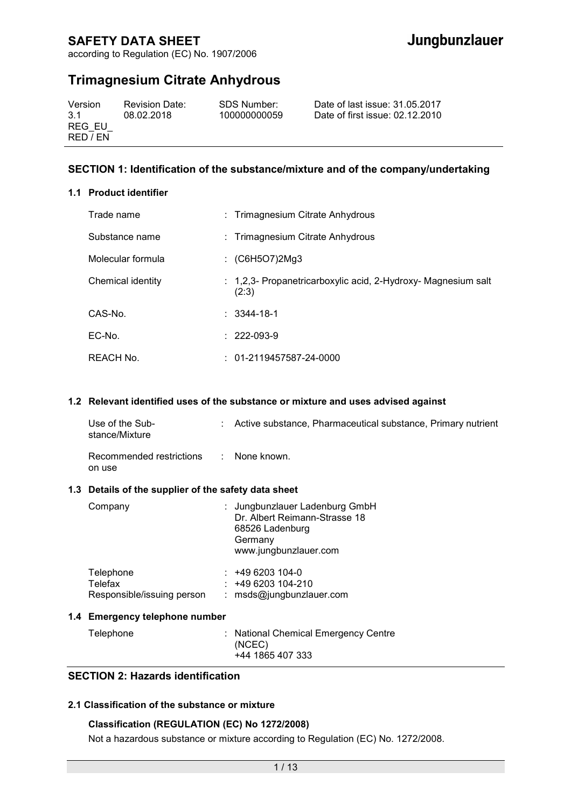according to Regulation (EC) No. 1907/2006

# **Trimagnesium Citrate Anhydrous**

| Version<br>3.1 | <b>Revision Date:</b><br>08.02.2018 | SDS Number:<br>100000000059 | Date of last issue: 31.05.2017<br>Date of first issue: 02.12.2010 |
|----------------|-------------------------------------|-----------------------------|-------------------------------------------------------------------|
| REG EU         |                                     |                             |                                                                   |
| RED / EN       |                                     |                             |                                                                   |

### **SECTION 1: Identification of the substance/mixture and of the company/undertaking**

#### **1.1 Product identifier**

| Trade name        | : Trimagnesium Citrate Anhydrous                                       |
|-------------------|------------------------------------------------------------------------|
| Substance name    | : Trimagnesium Citrate Anhydrous                                       |
| Molecular formula | : $(C6H5O7)2Mg3$                                                       |
| Chemical identity | : 1,2,3- Propanetricarboxylic acid, 2-Hydroxy- Magnesium salt<br>(2:3) |
| CAS-No.           | $: 3344 - 18 - 1$                                                      |
| $EC-NO$           | $: 222-093-9$                                                          |
| REACH No.         | $: 01-2119457587-24-0000$                                              |

#### **1.2 Relevant identified uses of the substance or mixture and uses advised against**

| Use of the Sub-<br>stance/Mixture  | Active substance, Pharmaceutical substance, Primary nutrient |
|------------------------------------|--------------------------------------------------------------|
| Recommended restrictions<br>on use | : None known.                                                |

#### **1.3 Details of the supplier of the safety data sheet**

| Company                                            |    | : Jungbunzlauer Ladenburg GmbH<br>Dr. Albert Reimann-Strasse 18<br>68526 Ladenburg<br>Germany<br>www.jungbunzlauer.com |
|----------------------------------------------------|----|------------------------------------------------------------------------------------------------------------------------|
| Telephone<br>Telefax<br>Responsible/issuing person | ÷. | +49 6203 104-0<br>$: 496203104-210$<br>msds@jungbunzlauer.com                                                          |
| 1.4 Emergency telephone number                     |    |                                                                                                                        |

| Telephone | : National Chemical Emergency Centre<br>(NCEC)<br>+44 1865 407 333 |
|-----------|--------------------------------------------------------------------|
|-----------|--------------------------------------------------------------------|

# **SECTION 2: Hazards identification**

#### **2.1 Classification of the substance or mixture**

### **Classification (REGULATION (EC) No 1272/2008)**

Not a hazardous substance or mixture according to Regulation (EC) No. 1272/2008.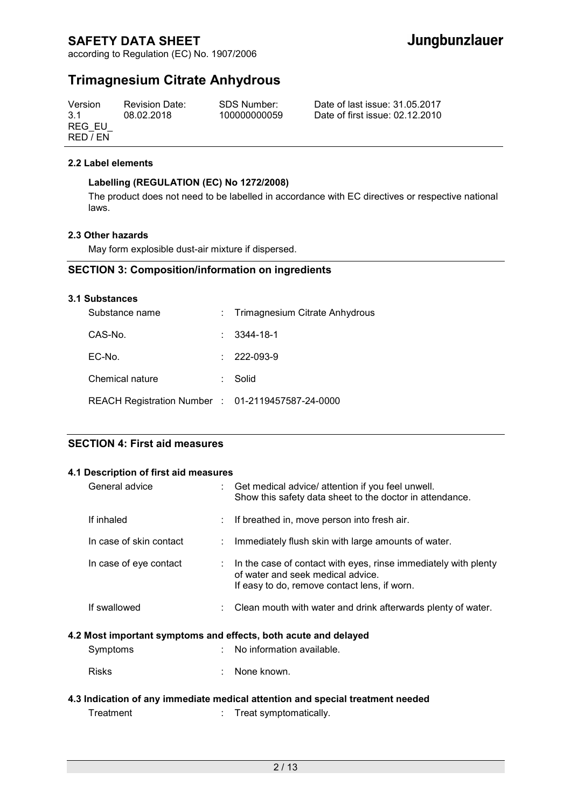according to Regulation (EC) No. 1907/2006

# **Trimagnesium Citrate Anhydrous**

| Version  | <b>Revision Date:</b> | SDS Number:  | Date of last issue: 31,05,2017  |
|----------|-----------------------|--------------|---------------------------------|
| 3.1      | 08.02.2018            | 100000000059 | Date of first issue: 02.12.2010 |
| REG EU   |                       |              |                                 |
| RED / EN |                       |              |                                 |

#### **2.2 Label elements**

### **Labelling (REGULATION (EC) No 1272/2008)**

The product does not need to be labelled in accordance with EC directives or respective national laws.

#### **2.3 Other hazards**

May form explosible dust-air mixture if dispersed.

### **SECTION 3: Composition/information on ingredients**

#### **3.1 Substances**

| Substance name                                    | : Trimagnesium Citrate Anhydrous |
|---------------------------------------------------|----------------------------------|
| CAS-No.                                           | $: 3344 - 18 - 1$                |
| $EC-NO$                                           | $\therefore$ 222-093-9           |
| Chemical nature                                   | Solid                            |
| REACH Registration Number : 01-2119457587-24-0000 |                                  |

### **SECTION 4: First aid measures**

#### **4.1 Description of first aid measures**

| General advice          |      | Get medical advice/ attention if you feel unwell.<br>Show this safety data sheet to the doctor in attendance.                                        |
|-------------------------|------|------------------------------------------------------------------------------------------------------------------------------------------------------|
| If inhaled              |      | : If breathed in, move person into fresh air.                                                                                                        |
| In case of skin contact |      | Immediately flush skin with large amounts of water.                                                                                                  |
| In case of eye contact  | t in | In the case of contact with eyes, rinse immediately with plenty<br>of water and seek medical advice.<br>If easy to do, remove contact lens, if worn. |
| If swallowed            |      | Clean mouth with water and drink afterwards plenty of water.                                                                                         |
|                         |      | 4.2 Most important symptoms and effects, both acute and delayed                                                                                      |
| Symptoms                |      | No information available.                                                                                                                            |
| <b>Risks</b>            |      | None known.                                                                                                                                          |

### **4.3 Indication of any immediate medical attention and special treatment needed**  Treatment : Treat symptomatically.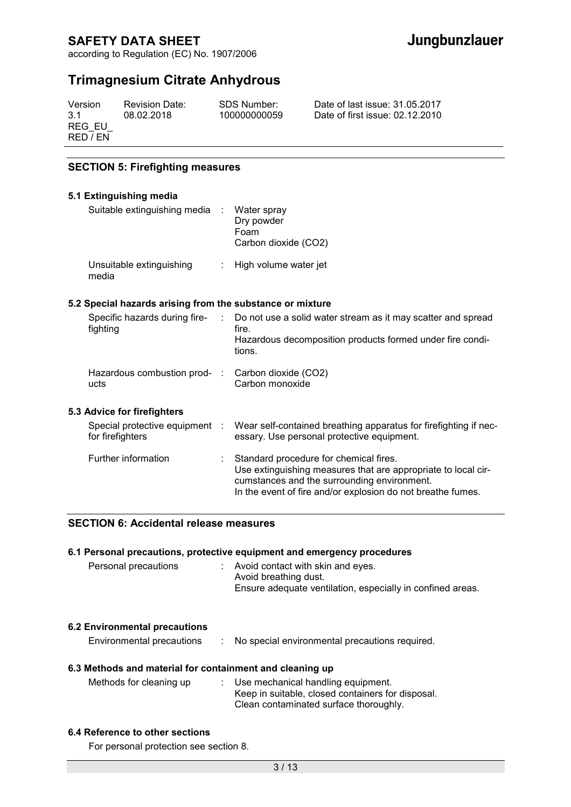according to Regulation (EC) No. 1907/2006

# **Trimagnesium Citrate Anhydrous**

| Version<br>3.1<br>REG EU<br>RED / FN | <b>Revision Date:</b><br>08.02.2018 | SDS Number:<br>100000000059 | Date of last issue: 31.05.2017<br>Date of first issue: 02.12.2010 |
|--------------------------------------|-------------------------------------|-----------------------------|-------------------------------------------------------------------|
|                                      |                                     |                             |                                                                   |

### **SECTION 5: Firefighting measures**

#### **5.1 Extinguishing media**

| Suitable extinguishing media      | Water spray<br>Dry powder<br>Foam<br>Carbon dioxide (CO2) |
|-----------------------------------|-----------------------------------------------------------|
| Unsuitable extinguishing<br>media | : High volume water jet                                   |

#### **5.2 Special hazards arising from the substance or mixture**

| Specific hazards during fire-<br>fighting          | Do not use a solid water stream as it may scatter and spread<br>fire.                                                                                                                                                 |
|----------------------------------------------------|-----------------------------------------------------------------------------------------------------------------------------------------------------------------------------------------------------------------------|
|                                                    | Hazardous decomposition products formed under fire condi-<br>tions.                                                                                                                                                   |
| Hazardous combustion prod-<br>ucts                 | Carbon dioxide (CO2)<br>Carbon monoxide                                                                                                                                                                               |
| 5.3 Advice for firefighters                        |                                                                                                                                                                                                                       |
| Special protective equipment :<br>for firefighters | Wear self-contained breathing apparatus for firefighting if nec-<br>essary. Use personal protective equipment.                                                                                                        |
| Further information                                | Standard procedure for chemical fires.<br>Use extinguishing measures that are appropriate to local cir-<br>cumstances and the surrounding environment.<br>In the event of fire and/or explosion do not breathe fumes. |

### **SECTION 6: Accidental release measures**

| 6.1 Personal precautions, protective equipment and emergency procedures |  |                                                                                                                            |
|-------------------------------------------------------------------------|--|----------------------------------------------------------------------------------------------------------------------------|
| Personal precautions                                                    |  | : Avoid contact with skin and eyes.<br>Avoid breathing dust.<br>Ensure adequate ventilation, especially in confined areas. |

#### **6.2 Environmental precautions**

Environmental precautions : No special environmental precautions required.

#### **6.3 Methods and material for containment and cleaning up**

| Methods for cleaning up | : Use mechanical handling equipment.              |
|-------------------------|---------------------------------------------------|
|                         | Keep in suitable, closed containers for disposal. |
|                         | Clean contaminated surface thoroughly.            |

#### **6.4 Reference to other sections**

For personal protection see section 8.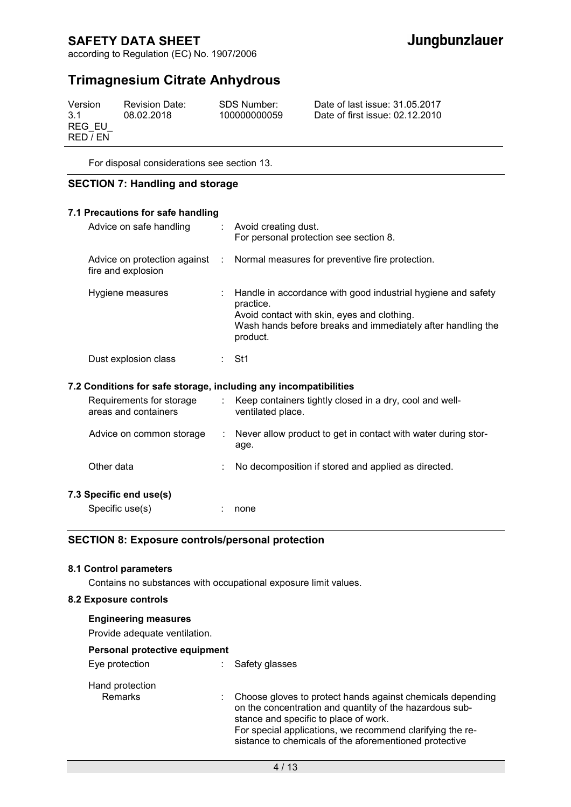according to Regulation (EC) No. 1907/2006

# **Trimagnesium Citrate Anhydrous**

| Version<br><b>Revision Date:</b>        | SDS Number:  | Date of last issue: 31.05.2017  |
|-----------------------------------------|--------------|---------------------------------|
| 3.1<br>08.02.2018<br>REG EU<br>RED / EN | 100000000059 | Date of first issue: 02.12.2010 |

For disposal considerations see section 13.

### **SECTION 7: Handling and storage**

| 7.1 Precautions for safe handling                                |                             |                                                                                                                                                                                                     |
|------------------------------------------------------------------|-----------------------------|-----------------------------------------------------------------------------------------------------------------------------------------------------------------------------------------------------|
| Advice on safe handling : Avoid creating dust.                   |                             | For personal protection see section 8.                                                                                                                                                              |
| fire and explosion                                               |                             | Advice on protection against : Normal measures for preventive fire protection.                                                                                                                      |
| Hygiene measures                                                 |                             | Handle in accordance with good industrial hygiene and safety<br>practice.<br>Avoid contact with skin, eyes and clothing.<br>Wash hands before breaks and immediately after handling the<br>product. |
| Dust explosion class                                             |                             | : St1                                                                                                                                                                                               |
| 7.2 Conditions for safe storage, including any incompatibilities |                             |                                                                                                                                                                                                     |
| Requirements for storage<br>areas and containers                 |                             | : Keep containers tightly closed in a dry, cool and well-<br>ventilated place.                                                                                                                      |
| Advice on common storage                                         | $\mathcal{L}_{\mathcal{A}}$ | Never allow product to get in contact with water during stor-<br>age.                                                                                                                               |
| Other data                                                       |                             | No decomposition if stored and applied as directed.                                                                                                                                                 |
| 7.3 Specific end use(s)                                          |                             |                                                                                                                                                                                                     |
| Specific use(s)                                                  |                             | none                                                                                                                                                                                                |

### **SECTION 8: Exposure controls/personal protection**

#### **8.1 Control parameters**

Contains no substances with occupational exposure limit values.

#### **8.2 Exposure controls**

| <b>Engineering measures</b><br>Provide adequate ventilation. |                                                                                                                                                                                                                                                                                       |
|--------------------------------------------------------------|---------------------------------------------------------------------------------------------------------------------------------------------------------------------------------------------------------------------------------------------------------------------------------------|
| Personal protective equipment                                |                                                                                                                                                                                                                                                                                       |
| Eye protection                                               | Safety glasses                                                                                                                                                                                                                                                                        |
| Hand protection<br><b>Remarks</b>                            | Choose gloves to protect hands against chemicals depending<br>on the concentration and quantity of the hazardous sub-<br>stance and specific to place of work.<br>For special applications, we recommend clarifying the re-<br>sistance to chemicals of the aforementioned protective |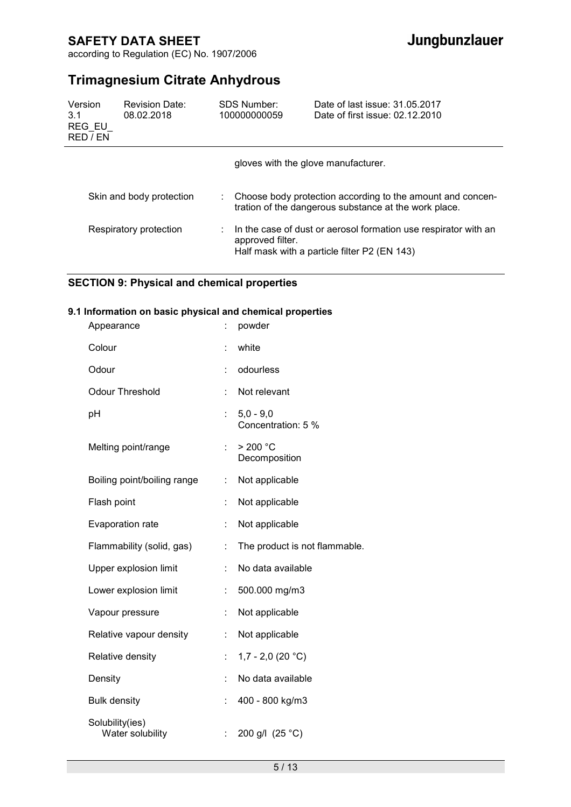according to Regulation (EC) No. 1907/2006

# **Trimagnesium Citrate Anhydrous**

| Version<br>3.1<br>REG EU<br>RED / EN | Revision Date:<br>08.02.2018 |    | SDS Number:<br>100000000059         | Date of last issue: 31.05.2017<br>Date of first issue: 02.12.2010                                                   |
|--------------------------------------|------------------------------|----|-------------------------------------|---------------------------------------------------------------------------------------------------------------------|
|                                      |                              |    | gloves with the glove manufacturer. |                                                                                                                     |
|                                      | Skin and body protection     | t. |                                     | Choose body protection according to the amount and concen-<br>tration of the dangerous substance at the work place. |
|                                      | Respiratory protection       |    | approved filter.                    | In the case of dust or aerosol formation use respirator with an<br>Half mask with a particle filter P2 (EN 143)     |

# **SECTION 9: Physical and chemical properties**

### **9.1 Information on basic physical and chemical properties**

| Appearance                          |                             | powder                                |
|-------------------------------------|-----------------------------|---------------------------------------|
| Colour                              | Ì.                          | white                                 |
| Odour                               | t                           | odourless                             |
| <b>Odour Threshold</b>              | ÷                           | Not relevant                          |
| pH                                  | $\mathcal{L}_{\mathcal{A}}$ | $5,0 - 9,0$<br>Concentration: 5 %     |
| Melting point/range                 | ÷.                          | $>$ 200 $^{\circ}$ C<br>Decomposition |
| Boiling point/boiling range         | t.                          | Not applicable                        |
| Flash point                         | t,                          | Not applicable                        |
| Evaporation rate                    | t                           | Not applicable                        |
| Flammability (solid, gas)           | t,                          | The product is not flammable.         |
| Upper explosion limit               | t,                          | No data available                     |
| Lower explosion limit               | ÷                           | 500.000 mg/m3                         |
| Vapour pressure                     | $\ddot{\cdot}$              | Not applicable                        |
| Relative vapour density             | t,                          | Not applicable                        |
| Relative density                    | ÷.                          | 1,7 - 2,0 (20 $°C$ )                  |
| Density                             | ÷.                          | No data available                     |
| <b>Bulk density</b>                 | t                           | 400 - 800 kg/m3                       |
| Solubility(ies)<br>Water solubility | t                           | 200 g/l (25 °C)                       |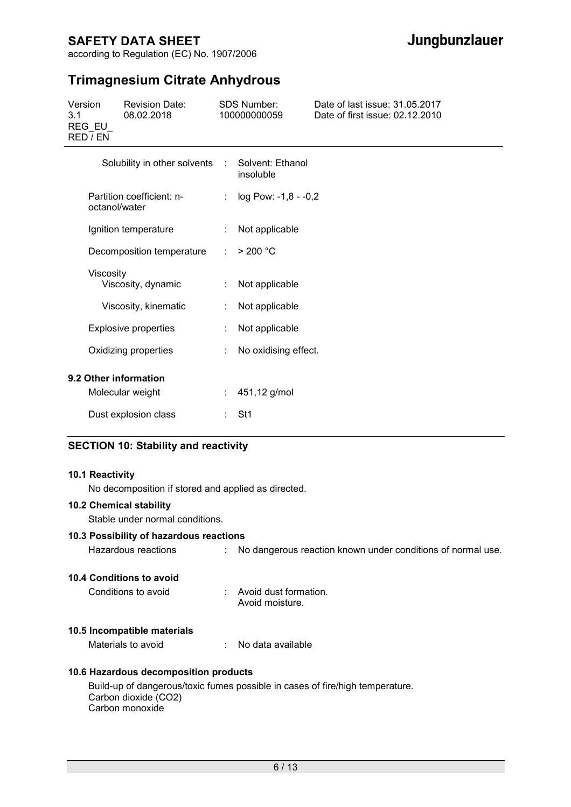according to Regulation (EC) No. 1907/2006

# **Trimagnesium Citrate Anhydrous**

| Version<br>3.1<br>REG EU<br>RED / EN | <b>Revision Date:</b><br>08.02.2018        |            | SDS Number:<br>100000000059   | Date of last issue: 31.05.2017<br>Date of first issue: 02.12.2010 |
|--------------------------------------|--------------------------------------------|------------|-------------------------------|-------------------------------------------------------------------|
|                                      | Solubility in other solvents               | $\sim 100$ | Solvent: Ethanol<br>insoluble |                                                                   |
|                                      | Partition coefficient: n-<br>octanol/water |            | $log Pow: -1, 8 - -0, 2$      |                                                                   |

| Ignition temperature            |    | : Not applicable      |
|---------------------------------|----|-----------------------|
| Decomposition temperature       |    | $\therefore$ > 200 °C |
| Viscosity<br>Viscosity, dynamic |    | Not applicable        |
| Viscosity, kinematic            | t. | Not applicable        |
| Explosive properties            | t. | Not applicable        |
| Oxidizing properties            | t. | No oxidising effect.  |
| 9.2 Other information           |    |                       |
| Molecular weight                | t. | 451,12 g/mol          |
| Dust explosion class            |    | St1                   |

### **SECTION 10: Stability and reactivity**

#### **10.1 Reactivity**

No decomposition if stored and applied as directed.

#### **10.2 Chemical stability**

Stable under normal conditions.

#### **10.3 Possibility of hazardous reactions**

Hazardous reactions : No dangerous reaction known under conditions of normal use.

#### **10.4 Conditions to avoid**

| Conditions to avoid | Avoid dust formation. |
|---------------------|-----------------------|
|                     | Avoid moisture.       |

#### **10.5 Incompatible materials**

Materials to avoid : No data available

#### **10.6 Hazardous decomposition products**

Build-up of dangerous/toxic fumes possible in cases of fire/high temperature. Carbon dioxide (CO2) Carbon monoxide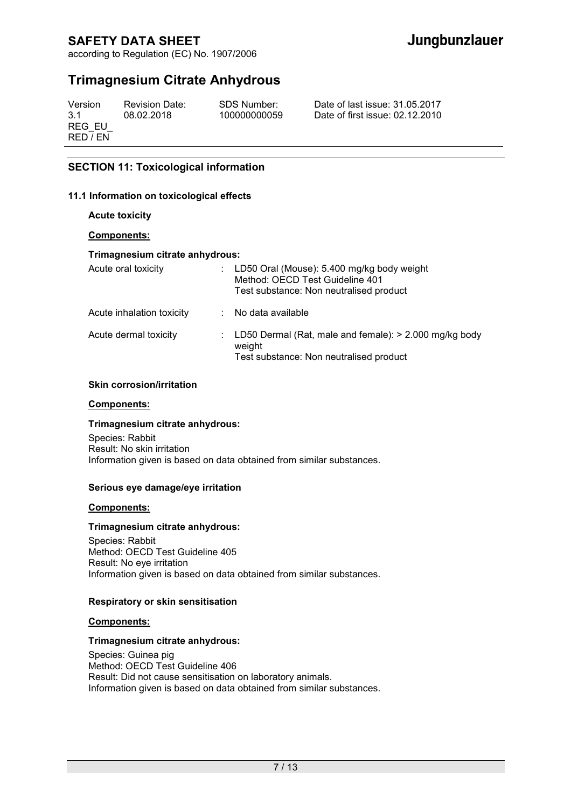according to Regulation (EC) No. 1907/2006

# **Trimagnesium Citrate Anhydrous**

| Version<br>3.1<br>REG EU<br>RED / EN | <b>Revision Date:</b><br>08.02.2018 | SDS Number:<br>100000000059 | Date of last issue: 31.05.2017<br>Date of first issue: 02.12.2010 |
|--------------------------------------|-------------------------------------|-----------------------------|-------------------------------------------------------------------|
|                                      |                                     |                             |                                                                   |

### **SECTION 11: Toxicological information**

#### **11.1 Information on toxicological effects**

**Acute toxicity** 

#### **Components:**

#### **Trimagnesium citrate anhydrous:**

| Acute oral toxicity       | : LD50 Oral (Mouse): $5.400$ mg/kg body weight<br>Method: OECD Test Guideline 401<br>Test substance: Non neutralised product |
|---------------------------|------------------------------------------------------------------------------------------------------------------------------|
| Acute inhalation toxicity | No data available                                                                                                            |
| Acute dermal toxicity     | : LD50 Dermal (Rat, male and female): $> 2.000$ mg/kg body<br>weight<br>Test substance: Non neutralised product              |

#### **Skin corrosion/irritation**

#### **Components:**

#### **Trimagnesium citrate anhydrous:**

Species: Rabbit Result: No skin irritation Information given is based on data obtained from similar substances.

#### **Serious eye damage/eye irritation**

#### **Components:**

#### **Trimagnesium citrate anhydrous:**

Species: Rabbit Method: OECD Test Guideline 405 Result: No eye irritation Information given is based on data obtained from similar substances.

#### **Respiratory or skin sensitisation**

#### **Components:**

#### **Trimagnesium citrate anhydrous:**

Species: Guinea pig Method: OECD Test Guideline 406 Result: Did not cause sensitisation on laboratory animals. Information given is based on data obtained from similar substances.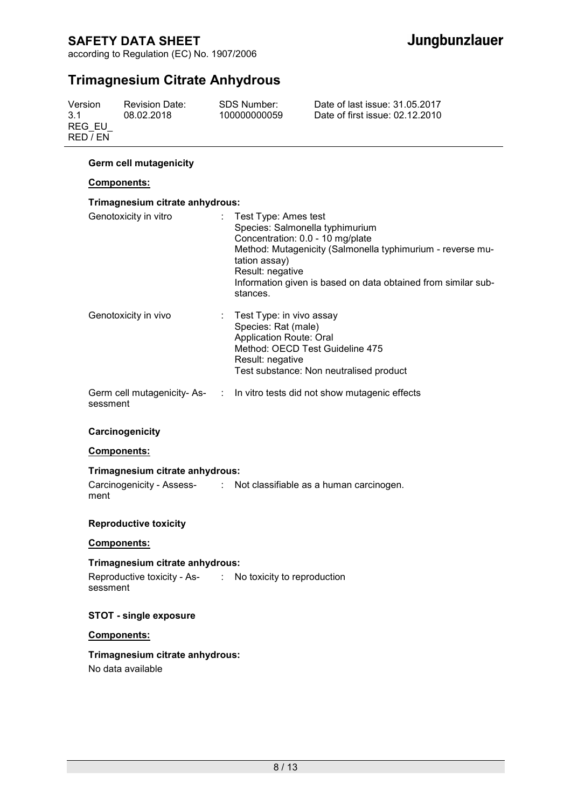according to Regulation (EC) No. 1907/2006

# **Trimagnesium Citrate Anhydrous**

| Version  | <b>Revision Date:</b> | SDS Number:  | Date of last issue: 31.05.2017  |
|----------|-----------------------|--------------|---------------------------------|
| 3.1      | 08.02.2018            | 100000000059 | Date of first issue: 02.12.2010 |
| REG EU   |                       |              |                                 |
| RED / EN |                       |              |                                 |

### **Germ cell mutagenicity**

#### **Components:**

#### **Trimagnesium citrate anhydrous:**

| Genotoxicity in vitro | $:$ Test Type: Ames test<br>Species: Salmonella typhimurium<br>Concentration: 0.0 - 10 mg/plate<br>Method: Mutagenicity (Salmonella typhimurium - reverse mu-<br>tation assay)<br>Result: negative<br>Information given is based on data obtained from similar sub-<br>stances. |
|-----------------------|---------------------------------------------------------------------------------------------------------------------------------------------------------------------------------------------------------------------------------------------------------------------------------|
| Genotoxicity in vivo  | $\therefore$ Test Type: in vivo assay<br>Species: Rat (male)<br><b>Application Route: Oral</b><br>Method: OECD Test Guideline 475<br>Result: negative<br>Test substance: Non neutralised product                                                                                |
| sessment              | Germ cell mutagenicity-As- : In vitro tests did not show mutagenic effects                                                                                                                                                                                                      |

#### **Carcinogenicity**

#### **Components:**

#### **Trimagnesium citrate anhydrous:**

Carcinogenicity - Assess-: Not classifiable as a human carcinogen. ment

#### **Reproductive toxicity**

#### **Components:**

### **Trimagnesium citrate anhydrous:**

Reproductive toxicity - As-: No toxicity to reproduction sessment

#### **STOT - single exposure**

#### **Components:**

**Trimagnesium citrate anhydrous:**  No data available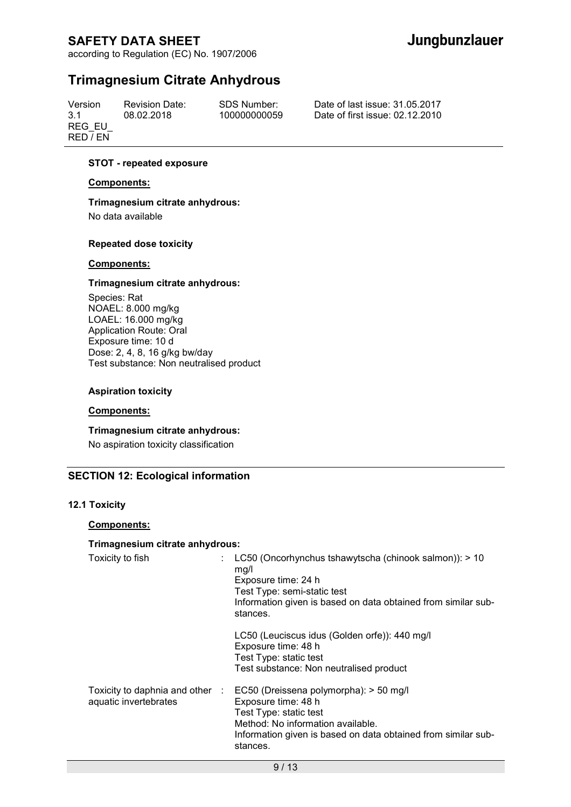according to Regulation (EC) No. 1907/2006

# **Trimagnesium Citrate Anhydrous**

Version 3.1 REG\_EU\_ RED / EN

Revision Date: 08.02.2018

SDS Number: 100000000059 Date of last issue: 31.05.2017 Date of first issue: 02.12.2010

#### **STOT - repeated exposure**

#### **Components:**

#### **Trimagnesium citrate anhydrous:**

No data available

#### **Repeated dose toxicity**

#### **Components:**

#### **Trimagnesium citrate anhydrous:**

Species: Rat NOAEL: 8.000 mg/kg LOAEL: 16.000 mg/kg Application Route: Oral Exposure time: 10 d Dose: 2, 4, 8, 16 g/kg bw/day Test substance: Non neutralised product

#### **Aspiration toxicity**

#### **Components:**

**Trimagnesium citrate anhydrous:**  No aspiration toxicity classification

#### **SECTION 12: Ecological information**

#### **12.1 Toxicity**

### **Components:**

#### **Trimagnesium citrate anhydrous:**

| Toxicity to fish                                         |  | : LC50 (Oncorhynchus tshawytscha (chinook salmon)): $> 10$<br>mg/l<br>Exposure time: 24 h<br>Test Type: semi-static test<br>Information given is based on data obtained from similar sub-<br>stances.     |
|----------------------------------------------------------|--|-----------------------------------------------------------------------------------------------------------------------------------------------------------------------------------------------------------|
|                                                          |  | LC50 (Leuciscus idus (Golden orfe)): 440 mg/l<br>Exposure time: 48 h<br>Test Type: static test<br>Test substance: Non neutralised product                                                                 |
| Toxicity to daphnia and other :<br>aquatic invertebrates |  | EC50 (Dreissena polymorpha): > 50 mg/l<br>Exposure time: 48 h<br>Test Type: static test<br>Method: No information available.<br>Information given is based on data obtained from similar sub-<br>stances. |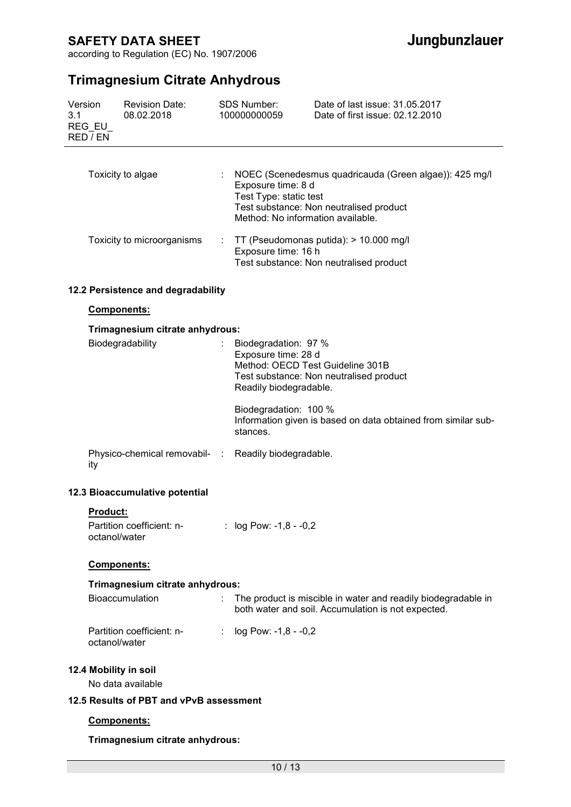according to Regulation (EC) No. 1907/2006

# **Trimagnesium Citrate Anhydrous**

| Version<br>3.1    | REG EU<br>RED / EN                      | <b>Revision Date:</b><br>08.02.2018                  |                                                                                                                                                                                        | SDS Number:<br>100000000059                                                                                    | Date of last issue: 31.05.2017<br>Date of first issue: 02.12.2010                                                   |
|-------------------|-----------------------------------------|------------------------------------------------------|----------------------------------------------------------------------------------------------------------------------------------------------------------------------------------------|----------------------------------------------------------------------------------------------------------------|---------------------------------------------------------------------------------------------------------------------|
| Toxicity to algae |                                         | $\mathcal{L}_{\mathrm{max}}$                         | NOEC (Scenedesmus quadricauda (Green algae)): 425 mg/l<br>Exposure time: 8 d<br>Test Type: static test<br>Test substance: Non neutralised product<br>Method: No information available. |                                                                                                                |                                                                                                                     |
|                   |                                         | Toxicity to microorganisms                           |                                                                                                                                                                                        | : $TT$ (Pseudomonas putida): $> 10.000$ mg/l<br>Exposure time: 16 h<br>Test substance: Non neutralised product |                                                                                                                     |
|                   |                                         | 12.2 Persistence and degradability                   |                                                                                                                                                                                        |                                                                                                                |                                                                                                                     |
|                   | Components:                             |                                                      |                                                                                                                                                                                        |                                                                                                                |                                                                                                                     |
|                   |                                         | Trimagnesium citrate anhydrous:                      |                                                                                                                                                                                        |                                                                                                                |                                                                                                                     |
| Biodegradability  |                                         |                                                      | Biodegradation: 97 %<br>Exposure time: 28 d<br>Readily biodegradable.                                                                                                                  | Method: OECD Test Guideline 301B<br>Test substance: Non neutralised product                                    |                                                                                                                     |
|                   |                                         |                                                      |                                                                                                                                                                                        | Biodegradation: 100 %<br>stances.                                                                              | Information given is based on data obtained from similar sub-                                                       |
|                   | ity                                     | Physico-chemical removabil- : Readily biodegradable. |                                                                                                                                                                                        |                                                                                                                |                                                                                                                     |
|                   |                                         | 12.3 Bioaccumulative potential                       |                                                                                                                                                                                        |                                                                                                                |                                                                                                                     |
|                   | <b>Product:</b>                         |                                                      |                                                                                                                                                                                        |                                                                                                                |                                                                                                                     |
|                   | octanol/water                           | Partition coefficient: n-                            |                                                                                                                                                                                        | : $log Pow: -1, 8 - -0, 2$                                                                                     |                                                                                                                     |
|                   | <b>Components:</b>                      |                                                      |                                                                                                                                                                                        |                                                                                                                |                                                                                                                     |
|                   |                                         | Trimagnesium citrate anhydrous:                      |                                                                                                                                                                                        |                                                                                                                |                                                                                                                     |
|                   |                                         | Bioaccumulation                                      |                                                                                                                                                                                        |                                                                                                                | The product is miscible in water and readily biodegradable in<br>both water and soil. Accumulation is not expected. |
|                   | octanol/water                           | Partition coefficient: n-                            | ÷                                                                                                                                                                                      | log Pow: -1,8 - -0,2                                                                                           |                                                                                                                     |
|                   |                                         | 12.4 Mobility in soil<br>No data available           |                                                                                                                                                                                        |                                                                                                                |                                                                                                                     |
|                   | 12.5 Results of PBT and vPvB assessment |                                                      |                                                                                                                                                                                        |                                                                                                                |                                                                                                                     |
|                   | Components:                             |                                                      |                                                                                                                                                                                        |                                                                                                                |                                                                                                                     |

### **Trimagnesium citrate anhydrous:**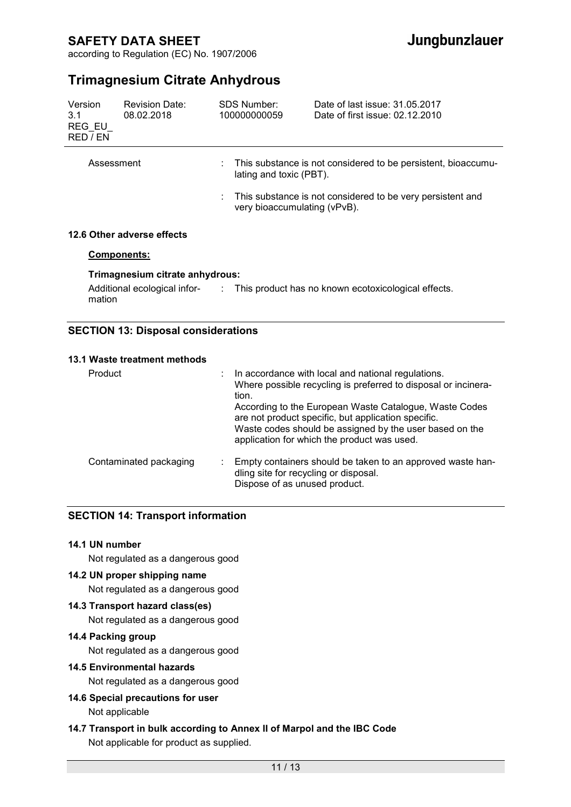according to Regulation (EC) No. 1907/2006

# **Trimagnesium Citrate Anhydrous**

| Version<br>3.1<br>REG EU<br>RED / EN                                                                                               | <b>Revision Date:</b><br>08.02.2018 |  | SDS Number:<br>100000000059                                                              | Date of last issue: 31.05.2017<br>Date of first issue: 02.12.2010 |  |
|------------------------------------------------------------------------------------------------------------------------------------|-------------------------------------|--|------------------------------------------------------------------------------------------|-------------------------------------------------------------------|--|
| Assessment                                                                                                                         |                                     |  | This substance is not considered to be persistent, bioaccumu-<br>lating and toxic (PBT). |                                                                   |  |
|                                                                                                                                    |                                     |  | very bioaccumulating (vPvB).                                                             | This substance is not considered to be very persistent and        |  |
|                                                                                                                                    | 12.6 Other adverse effects          |  |                                                                                          |                                                                   |  |
| <b>Components:</b>                                                                                                                 |                                     |  |                                                                                          |                                                                   |  |
| Trimagnesium citrate anhydrous:<br>Additional ecological infor-<br>: This product has no known ecotoxicological effects.<br>mation |                                     |  |                                                                                          |                                                                   |  |

### **SECTION 13: Disposal considerations**

#### **13.1 Waste treatment methods**

| Product                | : In accordance with local and national regulations.<br>Where possible recycling is preferred to disposal or incinera-<br>tion.<br>According to the European Waste Catalogue, Waste Codes<br>are not product specific, but application specific.<br>Waste codes should be assigned by the user based on the<br>application for which the product was used. |
|------------------------|------------------------------------------------------------------------------------------------------------------------------------------------------------------------------------------------------------------------------------------------------------------------------------------------------------------------------------------------------------|
| Contaminated packaging | Empty containers should be taken to an approved waste han-<br>dling site for recycling or disposal.<br>Dispose of as unused product.                                                                                                                                                                                                                       |

### **SECTION 14: Transport information**

### **14.1 UN number**

Not regulated as a dangerous good

### **14.2 UN proper shipping name**

Not regulated as a dangerous good

### **14.3 Transport hazard class(es)**

Not regulated as a dangerous good

# **14.4 Packing group**

Not regulated as a dangerous good

### **14.5 Environmental hazards**

Not regulated as a dangerous good

### **14.6 Special precautions for user**  Not applicable

### **14.7 Transport in bulk according to Annex II of Marpol and the IBC Code**  Not applicable for product as supplied.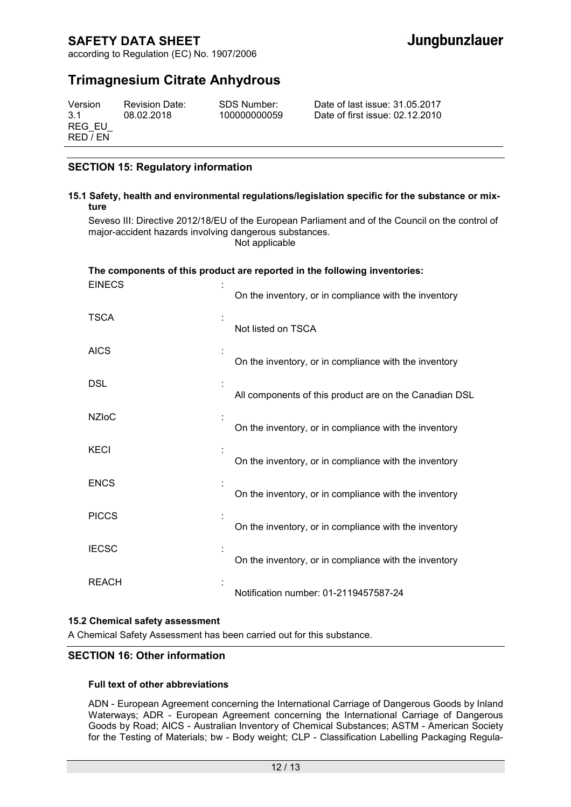according to Regulation (EC) No. 1907/2006

# **Trimagnesium Citrate Anhydrous**

| Version  | <b>Revision Date:</b> | SDS Number:  | Date of last issue: 31.05.2017  |
|----------|-----------------------|--------------|---------------------------------|
| 3.1      | 08.02.2018            | 100000000059 | Date of first issue: 02.12.2010 |
| REG EU   |                       |              |                                 |
| RED / EN |                       |              |                                 |

### **SECTION 15: Regulatory information**

#### **15.1 Safety, health and environmental regulations/legislation specific for the substance or mixture**

Seveso III: Directive 2012/18/EU of the European Parliament and of the Council on the control of major-accident hazards involving dangerous substances. Not applicable

### **The components of this product are reported in the following inventories: EINECS**

|              | On the inventory, or in compliance with the inventory  |
|--------------|--------------------------------------------------------|
| <b>TSCA</b>  | Not listed on TSCA                                     |
| <b>AICS</b>  | On the inventory, or in compliance with the inventory  |
| <b>DSL</b>   | All components of this product are on the Canadian DSL |
| <b>NZIoC</b> | On the inventory, or in compliance with the inventory  |
| <b>KECI</b>  | On the inventory, or in compliance with the inventory  |
| <b>ENCS</b>  | On the inventory, or in compliance with the inventory  |
| <b>PICCS</b> | On the inventory, or in compliance with the inventory  |
| <b>IECSC</b> | On the inventory, or in compliance with the inventory  |
| <b>REACH</b> | Notification number: 01-2119457587-24                  |

#### **15.2 Chemical safety assessment**

A Chemical Safety Assessment has been carried out for this substance.

### **SECTION 16: Other information**

#### **Full text of other abbreviations**

ADN - European Agreement concerning the International Carriage of Dangerous Goods by Inland Waterways; ADR - European Agreement concerning the International Carriage of Dangerous Goods by Road; AICS - Australian Inventory of Chemical Substances; ASTM - American Society for the Testing of Materials; bw - Body weight; CLP - Classification Labelling Packaging Regula-